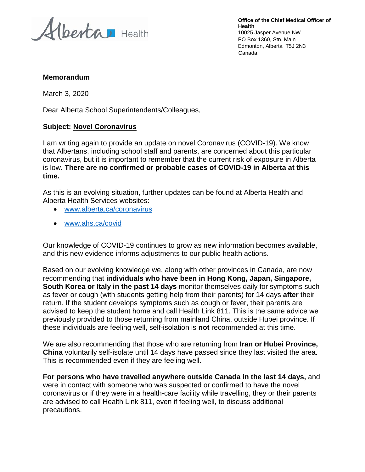Alberta Health

**Office of the Chief Medical Officer of Health** 10025 Jasper Avenue NW PO Box 1360, Stn. Main Edmonton, Alberta T5J 2N3 Canada

## **Memorandum**

March 3, 2020

Dear Alberta School Superintendents/Colleagues,

## **Subject: Novel Coronavirus**

I am writing again to provide an update on novel Coronavirus (COVID-19). We know that Albertans, including school staff and parents, are concerned about this particular coronavirus, but it is important to remember that the current risk of exposure in Alberta is low. **There are no confirmed or probable cases of COVID-19 in Alberta at this time.**

As this is an evolving situation, further updates can be found at Alberta Health and Alberta Health Services websites:

- [www.alberta.ca/coronavirus](http://www.alberta.ca/coronavirus)
- [www.ahs.ca/covid](http://www.ahs.ca/covid)

Our knowledge of COVID-19 continues to grow as new information becomes available, and this new evidence informs adjustments to our public health actions.

Based on our evolving knowledge we, along with other provinces in Canada, are now recommending that **individuals who have been in Hong Kong, Japan, Singapore, South Korea or Italy in the past 14 days** monitor themselves daily for symptoms such as fever or cough (with students getting help from their parents) for 14 days **after** their return. If the student develops symptoms such as cough or fever, their parents are advised to keep the student home and call Health Link 811. This is the same advice we previously provided to those returning from mainland China, outside Hubei province. If these individuals are feeling well, self-isolation is **not** recommended at this time.

We are also recommending that those who are returning from **Iran or Hubei Province, China** voluntarily self-isolate until 14 days have passed since they last visited the area. This is recommended even if they are feeling well.

**For persons who have travelled anywhere outside Canada in the last 14 days,** and were in contact with someone who was suspected or confirmed to have the novel coronavirus or if they were in a health-care facility while travelling, they or their parents are advised to call Health Link 811, even if feeling well, to discuss additional precautions.